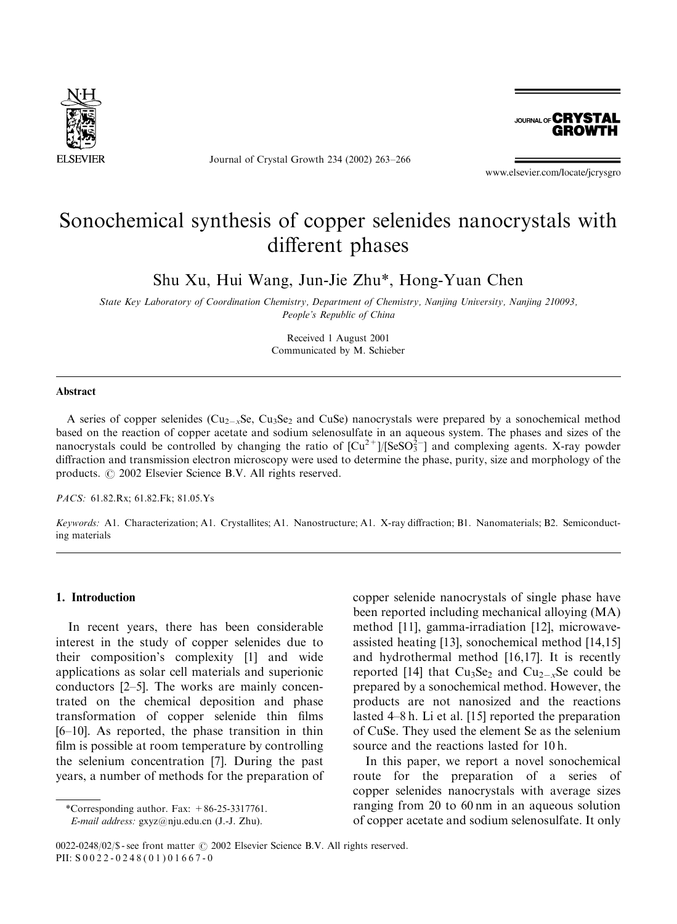

Journal of Crystal Growth 234 (2002) 263–266



www.elsevier.com/locate/jcrysgro

# Sonochemical synthesis of copper selenides nanocrystals with different phases

Shu Xu, Hui Wang, Jun-Jie Zhu\*, Hong-Yuan Chen

State Key Laboratory of Coordination Chemistry, Department of Chemistry, Nanjing University, Nanjing 210093, People's Republic of China

> Received 1 August 2001 Communicated by M. Schieber

## Abstract

A series of copper selenides ( $Cu_{2-x}Se$ ,  $Cu_3Se_2$  and CuSe) nanocrystals were prepared by a sonochemical method based on the reaction of copper acetate and sodium selenosulfate in an aqueous system. The phases and sizes of the nanocrystals could be controlled by changing the ratio of  $[Cu^{2+}]/[SeSO<sub>3</sub><sup>2</sup>]$  and complexing agents. X-ray powder diffraction and transmission electron microscopy were used to determine the phase, purity, size and morphology of the products.  $\odot$  2002 Elsevier Science B.V. All rights reserved.

PACS: 61.82.Rx; 61.82.Fk; 81.05.Ys

Keywords: A1. Characterization; A1. Crystallites; A1. Nanostructure; A1. X-ray diffraction; B1. Nanomaterials; B2. Semiconducting materials

#### 1. Introduction

In recent years, there has been considerable interest in the study of copper selenides due to their composition's complexity [1] and wide applications as solar cell materials and superionic conductors [2–5]. The works are mainly concentrated on the chemical deposition and phase transformation of copper selenide thin films [6–10]. As reported, the phase transition in thin film is possible at room temperature by controlling the selenium concentration [7]. During the past years, a number of methods for the preparation of

\*Corresponding author. Fax:  $+86-25-3317761$ . E-mail address: gxyz@nju.edu.cn (J.-J. Zhu).

copper selenide nanocrystals of single phase have been reported including mechanical alloying (MA) method [11], gamma-irradiation [12], microwaveassisted heating [13], sonochemical method [14,15] and hydrothermal method [16,17]. It is recently reported [14] that  $Cu<sub>3</sub>Se<sub>2</sub>$  and  $Cu<sub>2-x</sub>Se$  could be prepared by a sonochemical method. However, the products are not nanosized and the reactions lasted 4–8 h. Li et al. [15] reported the preparation of CuSe. They used the element Se as the selenium source and the reactions lasted for 10 h.

In this paper, we report a novel sonochemical route for the preparation of a series of copper selenides nanocrystals with average sizes ranging from 20 to 60 nm in an aqueous solution of copper acetate and sodium selenosulfate. It only

0022-0248/02/\$ - see front matter  $\odot$  2002 Elsevier Science B.V. All rights reserved. PII: S 0022-0248(01)01667-0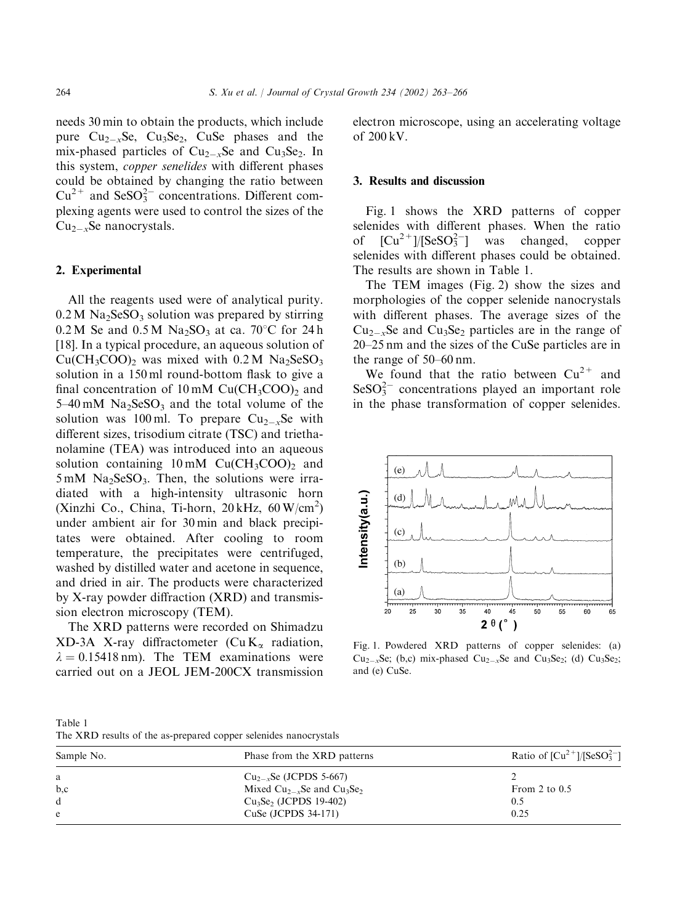needs 30 min to obtain the products, which include pure  $Cu_{2-x}Se$ ,  $Cu_3Se_2$ , CuSe phases and the mix-phased particles of  $Cu_{2-x}Se$  and  $Cu_{3}Se_{2}$ . In this system, copper senelides with different phases could be obtained by changing the ratio between  $Cu^{2+}$  and SeSO<sub>3</sub><sup>2</sup> concentrations. Different complexing agents were used to control the sizes of the  $Cu_{2-x}Se$  nanocrystals.

# 2. Experimental

All the reagents used were of analytical purity.  $0.2 M$  Na<sub>2</sub>SeSO<sub>3</sub> solution was prepared by stirring  $0.2 M$  Se and  $0.5 M$  Na<sub>2</sub>SO<sub>3</sub> at ca. 70<sup>o</sup>C for 24h [18]. In a typical procedure, an aqueous solution of  $Cu(CH<sub>3</sub>COO)<sub>2</sub>$  was mixed with 0.2 M Na<sub>2</sub>SeSO<sub>3</sub> solution in a 150 ml round-bottom flask to give a final concentration of  $10 \text{ mM } Cu(CH_3COO)$ <sub>2</sub> and  $5-40$  mM Na<sub>2</sub>SeSO<sub>3</sub> and the total volume of the solution was 100 ml. To prepare  $Cu_{2-x}Se$  with different sizes, trisodium citrate (TSC) and triethanolamine (TEA) was introduced into an aqueous solution containing  $10 \text{ mM } Cu(CH_3COO)_2$  and  $5 \text{ mM }$  Na<sub>2</sub>SeSO<sub>3</sub>. Then, the solutions were irradiated with a high-intensity ultrasonic horn (Xinzhi Co., China, Ti-horn,  $20 \text{ kHz}$ ,  $60 \text{ W/cm}^2$ ) under ambient air for 30 min and black precipitates were obtained. After cooling to room temperature, the precipitates were centrifuged, washed by distilled water and acetone in sequence, and dried in air. The products were characterized by X-ray powder diffraction (XRD) and transmission electron microscopy (TEM).

The XRD patterns were recorded on Shimadzu XD-3A X-ray diffractometer (Cu  $K_{\alpha}$  radiation,  $\lambda = 0.15418$  nm). The TEM examinations were carried out on a JEOL JEM-200CX transmission electron microscope, using an accelerating voltage of 200 kV.

#### 3. Results and discussion

Fig. 1 shows the XRD patterns of copper selenides with different phases. When the ratio of  $[Cu^{2+}]/[SeSO_3^2]$  was changed, copper selenides with different phases could be obtained. The results are shown in Table 1.

The TEM images (Fig. 2) show the sizes and morphologies of the copper selenide nanocrystals with different phases. The average sizes of the  $Cu_{2-x}$ Se and  $Cu_3Se_2$  particles are in the range of 20–25 nm and the sizes of the CuSe particles are in the range of 50–60 nm.

We found that the ratio between  $Cu^{2+}$  and  $\text{SeSO}_3^{2-}$  concentrations played an important role in the phase transformation of copper selenides.



Fig. 1. Powdered XRD patterns of copper selenides: (a)  $Cu_{2-x}Se$ ; (b,c) mix-phased  $Cu_{2-x}Se$  and  $Cu_3Se_2$ ; (d)  $Cu_3Se_2$ ; and (e) CuSe.

| Table 1 |  |  |                                                                  |
|---------|--|--|------------------------------------------------------------------|
|         |  |  | The XRD results of the as-prepared copper selenides nanocrystals |

| Sample No. | Phase from the XRD patterns           | Ratio of $[Cu^{2+}]/[SeSO_3^{2-}]$ |  |
|------------|---------------------------------------|------------------------------------|--|
| a          | $Cu_{2-x}Se$ (JCPDS 5-667)            |                                    |  |
| b,c        | Mixed $Cu_{2-x}Se$ and $Cu_{3}Se_{2}$ | From 2 to $0.5$                    |  |
| d          | $Cu3Se2$ (JCPDS 19-402)               | 0.5                                |  |
| e          | CuSe $(JCPDS 34-171)$                 | 0.25                               |  |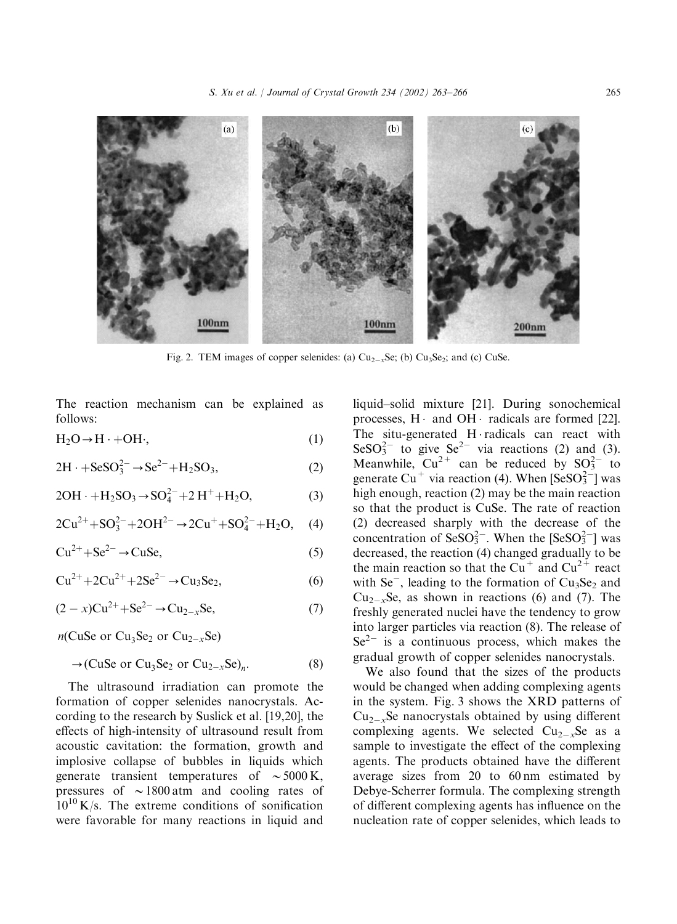

Fig. 2. TEM images of copper selenides: (a)  $Cu_{2-x}Se$ ; (b)  $Cu_3Se_2$ ; and (c) CuSe.

The reaction mechanism can be explained as follows:

 $H_2O \rightarrow H \cdot +OH$ ; (1)

$$
2H \cdot +SeSO_3^{2-} \rightarrow Se^{2-} + H_2SO_3,
$$
 (2)

$$
2OH \cdot +H_2SO_3 \to SO_4^{2-} + 2 H^+ + H_2O, \tag{3}
$$

$$
2Cu^{2+} + SO_3^{2-} + 2OH^{2-} \rightarrow 2Cu^+ + SO_4^{2-} + H_2O, \quad (4)
$$

$$
Cu^{2+} + Se^{2-} \to CuSe,
$$
 (5)

$$
Cu^{2+} + 2Cu^{2+} + 2Se^{2-} \to Cu_3Se_2,
$$
 (6)

$$
(2-x)Cu^{2+}+Se^{2-} \to Cu_{2-x}Se,
$$
 (7)

 $n$ (CuSe or Cu<sub>3</sub>Se<sub>2</sub> or Cu<sub>2-x</sub>Se)

$$
\rightarrow (\text{CuSe or Cu}_3\text{Se}_2 \text{ or Cu}_{2-x}\text{Se})_n. \tag{8}
$$

The ultrasound irradiation can promote the formation of copper selenides nanocrystals. According to the research by Suslick et al. [19,20], the effects of high-intensity of ultrasound result from acoustic cavitation: the formation, growth and implosive collapse of bubbles in liquids which generate transient temperatures of  $\sim$  5000 K, pressures of  $\sim$  1800 atm and cooling rates of  $10^{10}$  K/s. The extreme conditions of sonification were favorable for many reactions in liquid and

liquid–solid mixture [21]. During sonochemical processes,  $H \cdot$  and  $OH \cdot$  radicals are formed [22]. The situ-generated  $H \cdot$ radicals can react with  $\text{SeSO}_3^{2-}$  to give  $\text{Se}^{2-}$  via reactions (2) and (3). Meanwhile,  $Cu^{2+}$  can be reduced by  $SO_3^{2-}$  to generate Cu<sup>+</sup> via reaction (4). When  $[SeSO<sub>3</sub><sup>2</sup>$  was high enough, reaction (2) may be the main reaction so that the product is CuSe. The rate of reaction (2) decreased sharply with the decrease of the concentration of  $\text{SeSO}_3^{2-}$ . When the  $[\text{SeSO}_3^{2-}]$  was decreased, the reaction (4) changed gradually to be the main reaction so that the Cu<sup>+</sup> and Cu<sup>2+</sup> react with  $\text{Se}^-$ , leading to the formation of Cu<sub>3</sub>Se<sub>2</sub> and  $Cu_{2-x}Se$ , as shown in reactions (6) and (7). The freshly generated nuclei have the tendency to grow into larger particles via reaction (8). The release of  $Se<sup>2-</sup>$  is a continuous process, which makes the gradual growth of copper selenides nanocrystals.

We also found that the sizes of the products would be changed when adding complexing agents in the system. Fig. 3 shows the XRD patterns of  $Cu_{2-x}$ Se nanocrystals obtained by using different complexing agents. We selected  $Cu_{2-x}Se$  as a sample to investigate the effect of the complexing agents. The products obtained have the different average sizes from 20 to 60 nm estimated by Debye-Scherrer formula. The complexing strength of different complexing agents has influence on the nucleation rate of copper selenides, which leads to